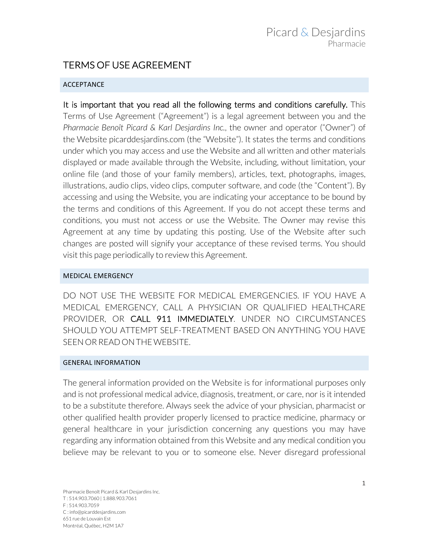# TERMS OF USE AGREEMENT

## **ACCEPTANCE**

It is important that you read all the following terms and conditions carefully. This Terms of Use Agreement ("Agreement") is a legal agreement between you and the *Pharmacie Benoît Picard & Karl Desjardins Inc.*, the owner and operator ("Owner") of the Website picarddesjardins.com (the "Website"). It states the terms and conditions under which you may access and use the Website and all written and other materials displayed or made available through the Website, including, without limitation, your online file (and those of your family members), articles, text, photographs, images, illustrations, audio clips, video clips, computer software, and code (the "Content"). By accessing and using the Website, you are indicating your acceptance to be bound by the terms and conditions of this Agreement. If you do not accept these terms and conditions, you must not access or use the Website. The Owner may revise this Agreement at any time by updating this posting. Use of the Website after such changes are posted will signify your acceptance of these revised terms. You should visit this page periodically to review this Agreement.

## MEDICAL EMERGENCY

DO NOT USE THE WEBSITE FOR MEDICAL EMERGENCIES. IF YOU HAVE A MEDICAL EMERGENCY, CALL A PHYSICIAN OR QUALIFIED HEALTHCARE PROVIDER, OR CALL 911 IMMEDIATELY. UNDER NO CIRCUMSTANCES SHOULD YOU ATTEMPT SELF-TREATMENT BASED ON ANYTHING YOU HAVE SEEN OR READ ON THE WEBSITE.

## **GENERAL INFORMATION**

The general information provided on the Website is for informational purposes only and is not professional medical advice, diagnosis, treatment, or care, nor is it intended to be a substitute therefore. Always seek the advice of your physician, pharmacist or other qualified health provider properly licensed to practice medicine, pharmacy or general healthcare in your jurisdiction concerning any questions you may have regarding any information obtained from this Website and any medical condition you believe may be relevant to you or to someone else. Never disregard professional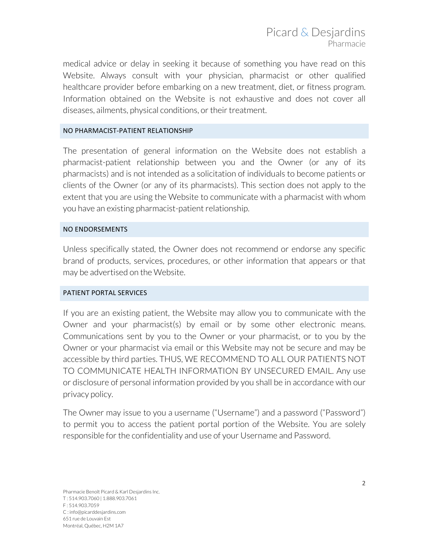medical advice or delay in seeking it because of something you have read on this Website. Always consult with your physician, pharmacist or other qualified healthcare provider before embarking on a new treatment, diet, or fitness program. Information obtained on the Website is not exhaustive and does not cover all diseases, ailments, physical conditions, or their treatment.

## NO PHARMACIST-PATIENT RELATIONSHIP

The presentation of general information on the Website does not establish a pharmacist-patient relationship between you and the Owner (or any of its pharmacists) and is not intended as a solicitation of individuals to become patients or clients of the Owner (or any of its pharmacists). This section does not apply to the extent that you are using the Website to communicate with a pharmacist with whom you have an existing pharmacist-patient relationship.

## NO ENDORSEMENTS

Unless specifically stated, the Owner does not recommend or endorse any specific brand of products, services, procedures, or other information that appears or that may be advertised on the Website.

## PATIENT PORTAL SERVICES

If you are an existing patient, the Website may allow you to communicate with the Owner and your pharmacist(s) by email or by some other electronic means. Communications sent by you to the Owner or your pharmacist, or to you by the Owner or your pharmacist via email or this Website may not be secure and may be accessible by third parties. THUS, WE RECOMMEND TO ALL OUR PATIENTS NOT TO COMMUNICATE HEALTH INFORMATION BY UNSECURED EMAIL. Any use or disclosure of personal information provided by you shall be in accordance with our privacy policy.

The Owner may issue to you a username ("Username") and a password ("Password") to permit you to access the patient portal portion of the Website. You are solely responsible for the confidentiality and use of your Username and Password.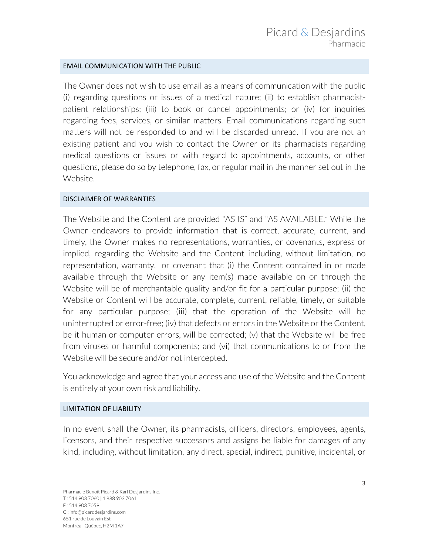## **EMAIL COMMUNICATION WITH THE PUBLIC**

The Owner does not wish to use email as a means of communication with the public (i) regarding questions or issues of a medical nature; (ii) to establish pharmacistpatient relationships; (iii) to book or cancel appointments; or (iv) for inquiries regarding fees, services, or similar matters. Email communications regarding such matters will not be responded to and will be discarded unread. If you are not an existing patient and you wish to contact the Owner or its pharmacists regarding medical questions or issues or with regard to appointments, accounts, or other questions, please do so by telephone, fax, or regular mail in the manner set out in the Website.

#### DISCLAIMER OF WARRANTIES

The Website and the Content are provided "AS IS" and "AS AVAILABLE." While the Owner endeavors to provide information that is correct, accurate, current, and timely, the Owner makes no representations, warranties, or covenants, express or implied, regarding the Website and the Content including, without limitation, no representation, warranty, or covenant that (i) the Content contained in or made available through the Website or any item(s) made available on or through the Website will be of merchantable quality and/or fit for a particular purpose; (ii) the Website or Content will be accurate, complete, current, reliable, timely, or suitable for any particular purpose; (iii) that the operation of the Website will be uninterrupted or error-free; (iv) that defects or errors in the Website or the Content, be it human or computer errors, will be corrected; (v) that the Website will be free from viruses or harmful components; and (vi) that communications to or from the Website will be secure and/or not intercepted.

You acknowledge and agree that your access and use of the Website and the Content is entirely at your own risk and liability.

## LIMITATION OF LIABILITY

In no event shall the Owner, its pharmacists, officers, directors, employees, agents, licensors, and their respective successors and assigns be liable for damages of any kind, including, without limitation, any direct, special, indirect, punitive, incidental, or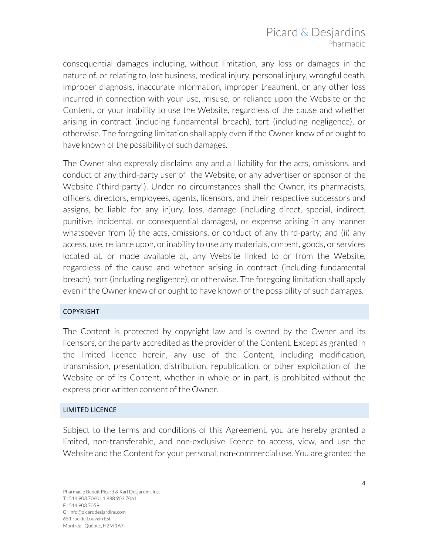# Picard & Desjardins Pharmacie

consequential damages including, without limitation, any loss or damages in the nature of, or relating to, lost business, medical injury, personal injury, wrongful death, improper diagnosis, inaccurate information, improper treatment, or any other loss incurred in connection with your use, misuse, or reliance upon the Website or the Content, or your inability to use the Website, regardless of the cause and whether arising in contract (including fundamental breach), tort (including negligence), or otherwise. The foregoing limitation shall apply even if the Owner knew of or ought to have known of the possibility of such damages.

The Owner also expressly disclaims any and all liability for the acts, omissions, and conduct of any third-party user of the Website, or any advertiser or sponsor of the Website ("third-party"). Under no circumstances shall the Owner, its pharmacists, officers, directors, employees, agents, licensors, and their respective successors and assigns, be liable for any injury, loss, damage (including direct, special, indirect, punitive, incidental, or consequential damages), or expense arising in any manner whatsoever from (i) the acts, omissions, or conduct of any third-party; and (ii) any access, use, reliance upon, or inability to use any materials, content, goods, or services located at, or made available at, any Website linked to or from the Website, regardless of the cause and whether arising in contract (including fundamental breach), tort (including negligence), or otherwise. The foregoing limitation shall apply even if the Owner knew of or ought to have known of the possibility of such damages.

# COPYRIGHT

The Content is protected by copyright law and is owned by the Owner and its licensors, or the party accredited as the provider of the Content. Except as granted in the limited licence herein, any use of the Content, including modification, transmission, presentation, distribution, republication, or other exploitation of the Website or of its Content, whether in whole or in part, is prohibited without the express prior written consent of the Owner.

## LIMITED LICENCE

Subject to the terms and conditions of this Agreement, you are hereby granted a limited, non-transferable, and non-exclusive licence to access, view, and use the Website and the Content for your personal, non-commercial use. You are granted the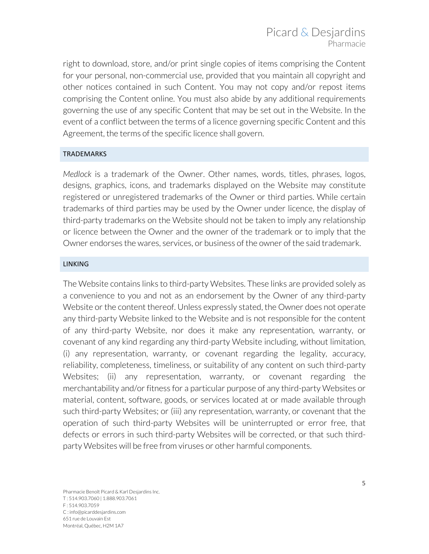right to download, store, and/or print single copies of items comprising the Content for your personal, non-commercial use, provided that you maintain all copyright and other notices contained in such Content. You may not copy and/or repost items comprising the Content online. You must also abide by any additional requirements governing the use of any specific Content that may be set out in the Website. In the event of a conflict between the terms of a licence governing specific Content and this Agreement, the terms of the specific licence shall govern.

## **TRADEMARKS**

*Medlock* is a trademark of the Owner. Other names, words, titles, phrases, logos, designs, graphics, icons, and trademarks displayed on the Website may constitute registered or unregistered trademarks of the Owner or third parties. While certain trademarks of third parties may be used by the Owner under licence, the display of third-party trademarks on the Website should not be taken to imply any relationship or licence between the Owner and the owner of the trademark or to imply that the Owner endorses the wares, services, or business of the owner of the said trademark.

## LINKING

The Website contains links to third-party Websites. These links are provided solely as a convenience to you and not as an endorsement by the Owner of any third-party Website or the content thereof. Unless expressly stated, the Owner does not operate any third-party Website linked to the Website and is not responsible for the content of any third-party Website, nor does it make any representation, warranty, or covenant of any kind regarding any third-party Website including, without limitation, (i) any representation, warranty, or covenant regarding the legality, accuracy, reliability, completeness, timeliness, or suitability of any content on such third-party Websites; (ii) any representation, warranty, or covenant regarding the merchantability and/or fitness for a particular purpose of any third-party Websites or material, content, software, goods, or services located at or made available through such third-party Websites; or (iii) any representation, warranty, or covenant that the operation of such third-party Websites will be uninterrupted or error free, that defects or errors in such third-party Websites will be corrected, or that such thirdparty Websites will be free from viruses or other harmful components.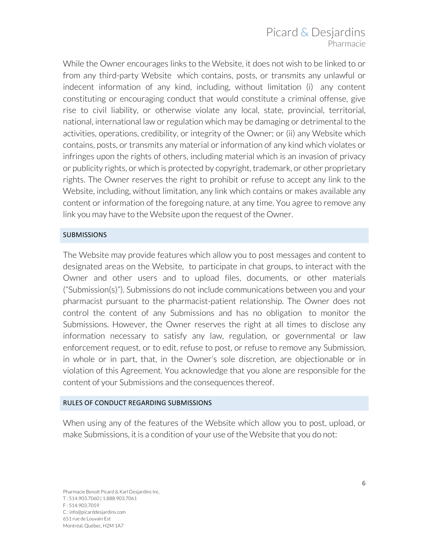While the Owner encourages links to the Website, it does not wish to be linked to or from any third-party Website which contains, posts, or transmits any unlawful or indecent information of any kind, including, without limitation (i) any content constituting or encouraging conduct that would constitute a criminal offense, give rise to civil liability, or otherwise violate any local, state, provincial, territorial, national, international law or regulation which may be damaging or detrimental to the activities, operations, credibility, or integrity of the Owner; or (ii) any Website which contains, posts, or transmits any material or information of any kind which violates or infringes upon the rights of others, including material which is an invasion of privacy or publicity rights, or which is protected by copyright, trademark, or other proprietary rights. The Owner reserves the right to prohibit or refuse to accept any link to the Website, including, without limitation, any link which contains or makes available any content or information of the foregoing nature, at any time. You agree to remove any link you may have to the Website upon the request of the Owner.

# **SUBMISSIONS**

The Website may provide features which allow you to post messages and content to designated areas on the Website, to participate in chat groups, to interact with the Owner and other users and to upload files, documents, or other materials ("Submission(s)"). Submissions do not include communications between you and your pharmacist pursuant to the pharmacist-patient relationship. The Owner does not control the content of any Submissions and has no obligation to monitor the Submissions. However, the Owner reserves the right at all times to disclose any information necessary to satisfy any law, regulation, or governmental or law enforcement request, or to edit, refuse to post, or refuse to remove any Submission, in whole or in part, that, in the Owner's sole discretion, are objectionable or in violation of this Agreement. You acknowledge that you alone are responsible for the content of your Submissions and the consequences thereof.

# RULES OF CONDUCT REGARDING SUBMISSIONS

When using any of the features of the Website which allow you to post, upload, or make Submissions, it is a condition of your use of the Website that you do not: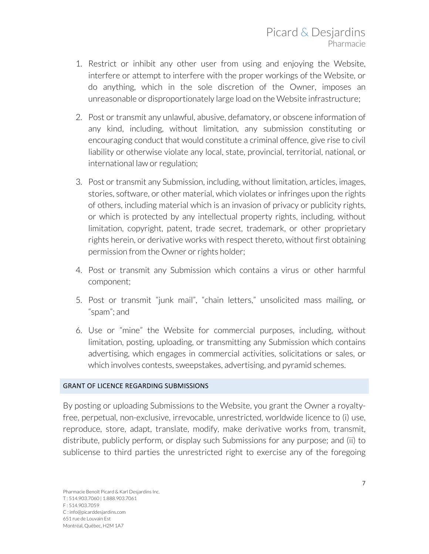- 1. Restrict or inhibit any other user from using and enjoying the Website, interfere or attempt to interfere with the proper workings of the Website, or do anything, which in the sole discretion of the Owner, imposes an unreasonable or disproportionately large load on the Website infrastructure;
- 2. Post or transmit any unlawful, abusive, defamatory, or obscene information of any kind, including, without limitation, any submission constituting or encouraging conduct that would constitute a criminal offence, give rise to civil liability or otherwise violate any local, state, provincial, territorial, national, or international law or regulation;
- 3. Post or transmit any Submission, including, without limitation, articles, images, stories, software, or other material, which violates or infringes upon the rights of others, including material which is an invasion of privacy or publicity rights, or which is protected by any intellectual property rights, including, without limitation, copyright, patent, trade secret, trademark, or other proprietary rights herein, or derivative works with respect thereto, without first obtaining permission from the Owner or rights holder;
- 4. Post or transmit any Submission which contains a virus or other harmful component;
- 5. Post or transmit "junk mail", "chain letters," unsolicited mass mailing, or "spam"; and
- 6. Use or "mine" the Website for commercial purposes, including, without limitation, posting, uploading, or transmitting any Submission which contains advertising, which engages in commercial activities, solicitations or sales, or which involves contests, sweepstakes, advertising, and pyramid schemes.

# **GRANT OF LICENCE REGARDING SUBMISSIONS**

By posting or uploading Submissions to the Website, you grant the Owner a royaltyfree, perpetual, non-exclusive, irrevocable, unrestricted, worldwide licence to (i) use, reproduce, store, adapt, translate, modify, make derivative works from, transmit, distribute, publicly perform, or display such Submissions for any purpose; and (ii) to sublicense to third parties the unrestricted right to exercise any of the foregoing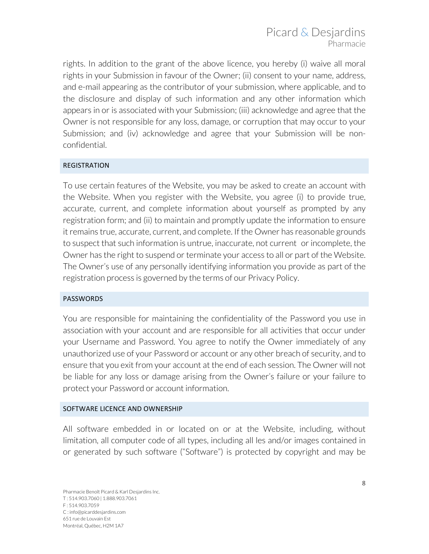rights. In addition to the grant of the above licence, you hereby (i) waive all moral rights in your Submission in favour of the Owner; (ii) consent to your name, address, and e-mail appearing as the contributor of your submission, where applicable, and to the disclosure and display of such information and any other information which appears in or is associated with your Submission; (iii) acknowledge and agree that the Owner is not responsible for any loss, damage, or corruption that may occur to your Submission; and (iv) acknowledge and agree that your Submission will be nonconfidential.

# REGISTRATION

To use certain features of the Website, you may be asked to create an account with the Website. When you register with the Website, you agree (i) to provide true, accurate, current, and complete information about yourself as prompted by any registration form; and (ii) to maintain and promptly update the information to ensure it remains true, accurate, current, and complete. If the Owner has reasonable grounds to suspect that such information is untrue, inaccurate, not current or incomplete, the Owner has the right to suspend or terminate your access to all or part of the Website. The Owner's use of any personally identifying information you provide as part of the registration process is governed by the terms of our Privacy Policy.

# PASSWORDS

You are responsible for maintaining the confidentiality of the Password you use in association with your account and are responsible for all activities that occur under your Username and Password. You agree to notify the Owner immediately of any unauthorized use of your Password or account or any other breach of security, and to ensure that you exit from your account at the end of each session. The Owner will not be liable for any loss or damage arising from the Owner's failure or your failure to protect your Password or account information.

## SOFTWARE LICENCE AND OWNERSHIP

All software embedded in or located on or at the Website, including, without limitation, all computer code of all types, including all les and/or images contained in or generated by such software ("Software") is protected by copyright and may be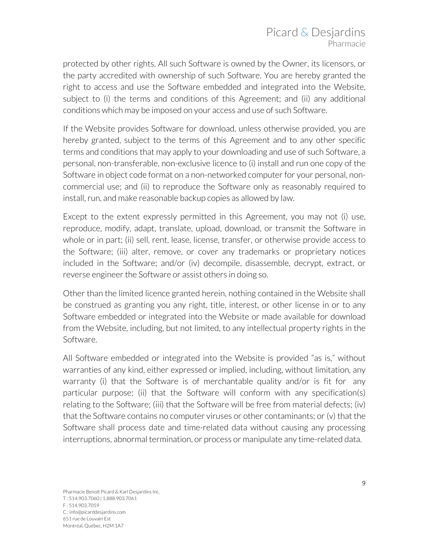protected by other rights. All such Software is owned by the Owner, its licensors, or the party accredited with ownership of such Software. You are hereby granted the right to access and use the Software embedded and integrated into the Website, subject to (i) the terms and conditions of this Agreement; and (ii) any additional conditions which may be imposed on your access and use of such Software.

If the Website provides Software for download, unless otherwise provided, you are hereby granted, subject to the terms of this Agreement and to any other specific terms and conditions that may apply to your downloading and use of such Software, a personal, non-transferable, non-exclusive licence to (i) install and run one copy of the Software in object code format on a non-networked computer for your personal, noncommercial use; and (ii) to reproduce the Software only as reasonably required to install, run, and make reasonable backup copies as allowed by law.

Except to the extent expressly permitted in this Agreement, you may not (i) use, reproduce, modify, adapt, translate, upload, download, or transmit the Software in whole or in part; (ii) sell, rent, lease, license, transfer, or otherwise provide access to the Software; (iii) alter, remove, or cover any trademarks or proprietary notices included in the Software; and/or (iv) decompile, disassemble, decrypt, extract, or reverse engineer the Software or assist others in doing so.

Other than the limited licence granted herein, nothing contained in the Website shall be construed as granting you any right, title, interest, or other license in or to any Software embedded or integrated into the Website or made available for download from the Website, including, but not limited, to any intellectual property rights in the Software.

All Software embedded or integrated into the Website is provided "as is," without warranties of any kind, either expressed or implied, including, without limitation, any warranty (i) that the Software is of merchantable quality and/or is fit for any particular purpose; (ii) that the Software will conform with any specification(s) relating to the Software; (iii) that the Software will be free from material defects; (iv) that the Software contains no computer viruses or other contaminants; or (v) that the Software shall process date and time-related data without causing any processing interruptions, abnormal termination, or process or manipulate any time-related data.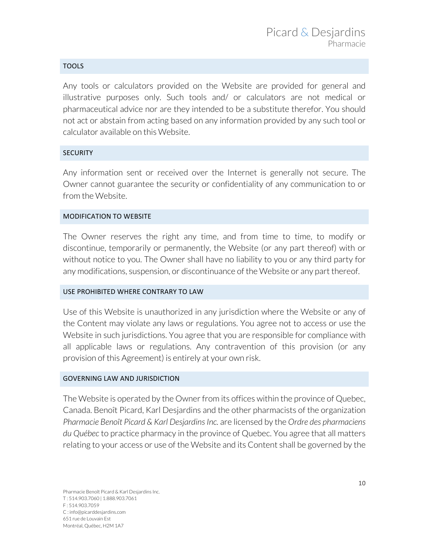## TOOLS

Any tools or calculators provided on the Website are provided for general and illustrative purposes only. Such tools and/ or calculators are not medical or pharmaceutical advice nor are they intended to be a substitute therefor. You should not act or abstain from acting based on any information provided by any such tool or calculator available on this Website.

## **SECURITY**

Any information sent or received over the Internet is generally not secure. The Owner cannot guarantee the security or confidentiality of any communication to or from the Website.

## MODIFICATION TO WEBSITE

The Owner reserves the right any time, and from time to time, to modify or discontinue, temporarily or permanently, the Website (or any part thereof) with or without notice to you. The Owner shall have no liability to you or any third party for any modifications, suspension, or discontinuance of the Website or any part thereof.

## USE PROHIBITED WHERE CONTRARY TO LAW

Use of this Website is unauthorized in any jurisdiction where the Website or any of the Content may violate any laws or regulations. You agree not to access or use the Website in such jurisdictions. You agree that you are responsible for compliance with all applicable laws or regulations. Any contravention of this provision (or any provision of this Agreement) is entirely at your own risk.

## **GOVERNING LAW AND JURISDICTION**

The Website is operated by the Owner from its offices within the province of Quebec, Canada. Benoît Picard, Karl Desjardins and the other pharmacists of the organization *Pharmacie Benoît Picard & Karl Desjardins Inc.* are licensed by the *Ordre des pharmaciens du Québec* to practice pharmacy in the province of Quebec. You agree that all matters relating to your access or use of the Website and its Content shall be governed by the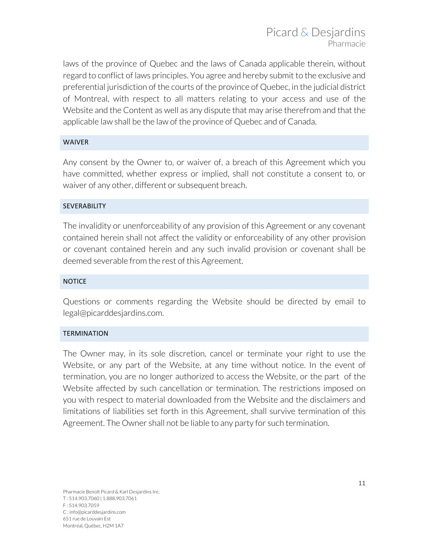laws of the province of Quebec and the laws of Canada applicable therein, without regard to conflict of laws principles. You agree and hereby submit to the exclusive and preferential jurisdiction of the courts of the province of Quebec, in the judicial district of Montreal, with respect to all matters relating to your access and use of the Website and the Content as well as any dispute that may arise therefrom and that the applicable law shall be the law of the province of Quebec and of Canada.

## WAIVER

Any consent by the Owner to, or waiver of, a breach of this Agreement which you have committed, whether express or implied, shall not constitute a consent to, or waiver of any other, different or subsequent breach.

## SEVERABILITY

The invalidity or unenforceability of any provision of this Agreement or any covenant contained herein shall not affect the validity or enforceability of any other provision or covenant contained herein and any such invalid provision or covenant shall be deemed severable from the rest of this Agreement.

## NOTICE

Questions or comments regarding the Website should be directed by email to legal@picarddesjardins.com.

## **TERMINATION**

The Owner may, in its sole discretion, cancel or terminate your right to use the Website, or any part of the Website, at any time without notice. In the event of termination, you are no longer authorized to access the Website, or the part of the Website affected by such cancellation or termination. The restrictions imposed on you with respect to material downloaded from the Website and the disclaimers and limitations of liabilities set forth in this Agreement, shall survive termination of this Agreement. The Owner shall not be liable to any party for such termination.